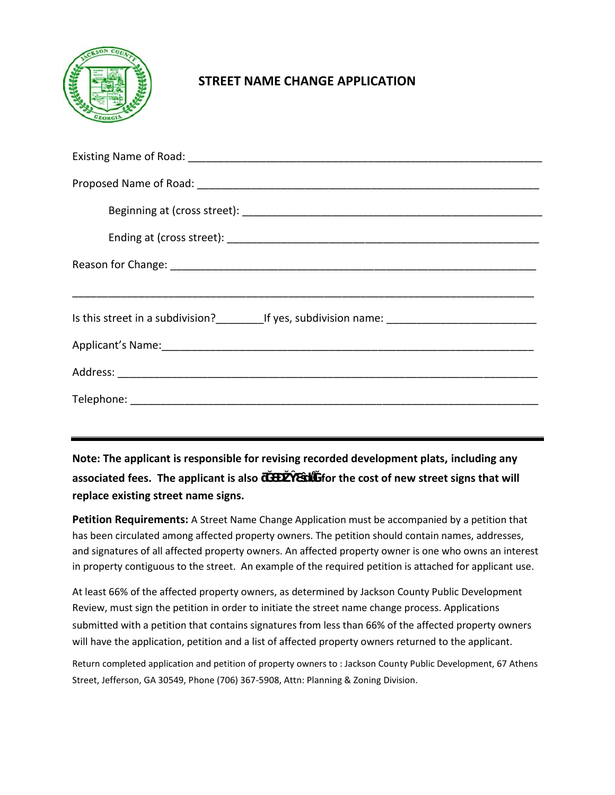

## **STREET NAME CHANGE APPLICATION**

| Is this street in a subdivision?_____________If yes, subdivision name: _____________________________ |  |  |  |  |  |
|------------------------------------------------------------------------------------------------------|--|--|--|--|--|
|                                                                                                      |  |  |  |  |  |
|                                                                                                      |  |  |  |  |  |
|                                                                                                      |  |  |  |  |  |
|                                                                                                      |  |  |  |  |  |

**Note: The applicant is responsible for revising recorded development plats, including any associated fees. The applicant is also <b>b** for the cost of new street signs that will **replace existing street name signs.** 

**Petition Requirements:** A Street Name Change Application must be accompanied by a petition that has been circulated among affected property owners. The petition should contain names, addresses, and signatures of all affected property owners. An affected property owner is one who owns an interest in property contiguous to the street. An example of the required petition is attached for applicant use.

At least 66% of the affected property owners, as determined by Jackson County Public Development Review, must sign the petition in order to initiate the street name change process. Applications submitted with a petition that contains signatures from less than 66% of the affected property owners will have the application, petition and a list of affected property owners returned to the applicant.

Return completed application and petition of property owners to : Jackson County Public Development, 67 Athens Street, Jefferson, GA 30549, Phone (706) 367-5908, Attn: Planning & Zoning Division.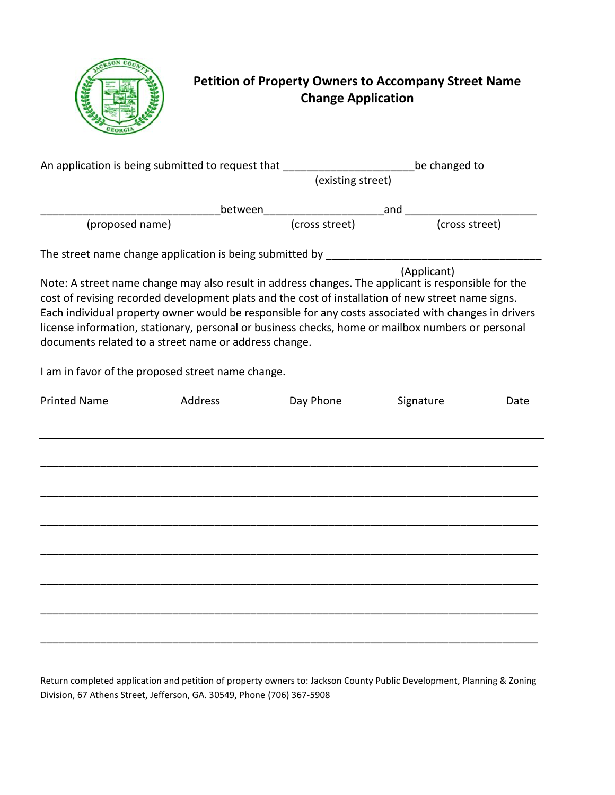

## **Petition of Property Owners to Accompany Street Name Change Application**

| An application is being submitted to request that ______________________________ |         |                                                                                                                                                                                                                                                                                                                                                                                                                        | be changed to<br>(existing street) |      |  |
|----------------------------------------------------------------------------------|---------|------------------------------------------------------------------------------------------------------------------------------------------------------------------------------------------------------------------------------------------------------------------------------------------------------------------------------------------------------------------------------------------------------------------------|------------------------------------|------|--|
|                                                                                  |         |                                                                                                                                                                                                                                                                                                                                                                                                                        |                                    |      |  |
| (proposed name)                                                                  |         |                                                                                                                                                                                                                                                                                                                                                                                                                        |                                    |      |  |
|                                                                                  |         |                                                                                                                                                                                                                                                                                                                                                                                                                        |                                    |      |  |
| documents related to a street name or address change.                            |         | Note: A street name change may also result in address changes. The applicant is responsible for the<br>cost of revising recorded development plats and the cost of installation of new street name signs.<br>Each individual property owner would be responsible for any costs associated with changes in drivers<br>license information, stationary, personal or business checks, home or mailbox numbers or personal | (Applicant)                        |      |  |
| I am in favor of the proposed street name change.                                |         |                                                                                                                                                                                                                                                                                                                                                                                                                        |                                    |      |  |
| <b>Printed Name</b>                                                              | Address | Day Phone                                                                                                                                                                                                                                                                                                                                                                                                              | Signature                          | Date |  |
|                                                                                  |         |                                                                                                                                                                                                                                                                                                                                                                                                                        |                                    |      |  |
|                                                                                  |         |                                                                                                                                                                                                                                                                                                                                                                                                                        |                                    |      |  |
|                                                                                  |         |                                                                                                                                                                                                                                                                                                                                                                                                                        |                                    |      |  |
|                                                                                  |         |                                                                                                                                                                                                                                                                                                                                                                                                                        |                                    |      |  |
|                                                                                  |         |                                                                                                                                                                                                                                                                                                                                                                                                                        |                                    |      |  |
|                                                                                  |         |                                                                                                                                                                                                                                                                                                                                                                                                                        |                                    |      |  |
|                                                                                  |         |                                                                                                                                                                                                                                                                                                                                                                                                                        |                                    |      |  |

Return completed application and petition of property owners to: Jackson County Public Development, Planning & Zoning Division, 67 Athens Street, Jefferson, GA. 30549, Phone (706) 367-5908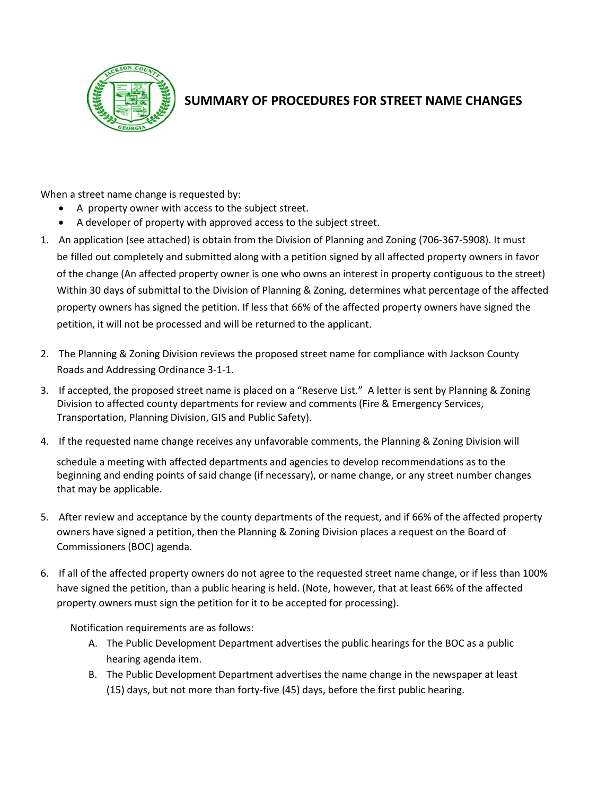

## **SUMMARY OF PROCEDURES FOR STREET NAME CHANGES**

When a street name change is requested by:

- A property owner with access to the subject street.
- A developer of property with approved access to the subject street.
- 1. An application (see attached) is obtain from the [Division of Planning and Zoning](http://www.jacksoncountygov.com/298/Planning-Zoning) (706-367-5908). It must be filled out completely and submitted along with a petition signed by all affected property owners in favor of the change (An affected property owner is one who owns an interest in property contiguous to the street) Within 30 days of submittal to the Division of Planning & Zoning, determines what percentage of the affected property owners has signed the petition. If less that 66% of the affected property owners have signed the petition, it will not be processed and will be returned to the applicant.
- 2. The Planning & Zoning Division reviews the proposed street name for compliance with Jackson County Roads and Addressing Ordinance 3-1-1.
- 3. If accepted, the proposed street name is placed on a "Reserve List." A letter is sent by Planning & Zoning Division to affected county departments for review and comments (Fire & Emergency Services, Transportation, Planning Division, GIS and Public Safety).
- 4. If the requested name change receives any unfavorable comments, the Planning & Zoning Division will

schedule a meeting with affected departments and agencies to develop recommendations as to the beginning and ending points of said change (if necessary), or name change, or any street number changes that may be applicable.

- 5. After review and acceptance by the county departments of the request, and if 66% of the affected property owners have signed a petition, then the Planning & Zoning Division places a request on the Board of Commissioners (BOC) agenda.
- 6. If all of the affected property owners do not agree to the requested street name change, or if less than 100% have signed the petition, than a public hearing is held. (Note, however, that at least 66% of the affected property owners must sign the petition for it to be accepted for processing).

Notification requirements are as follows:

- A. The Public Development Department advertises the public hearings for the BOC as a public hearing agenda item.
- B. The Public Development Department advertises the name change in the newspaper at least (15) days, but not more than forty-five (45) days, before the first public hearing.